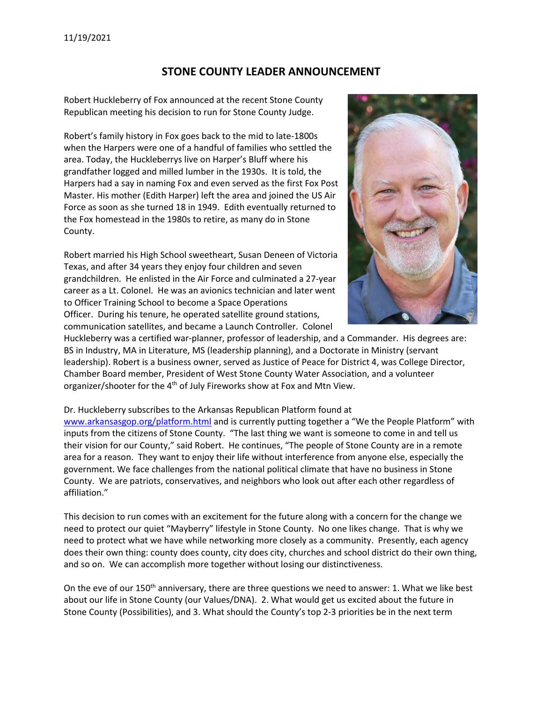## STONE COUNTY LEADER ANNOUNCEMENT

Robert Huckleberry of Fox announced at the recent Stone County Republican meeting his decision to run for Stone County Judge.

Robert's family history in Fox goes back to the mid to late-1800s when the Harpers were one of a handful of families who settled the area. Today, the Huckleberrys live on Harper's Bluff where his grandfather logged and milled lumber in the 1930s. It is told, the Harpers had a say in naming Fox and even served as the first Fox Post Master. His mother (Edith Harper) left the area and joined the US Air Force as soon as she turned 18 in 1949. Edith eventually returned to the Fox homestead in the 1980s to retire, as many do in Stone County.

Robert married his High School sweetheart, Susan Deneen of Victoria Texas, and after 34 years they enjoy four children and seven grandchildren. He enlisted in the Air Force and culminated a 27-year career as a Lt. Colonel. He was an avionics technician and later went to Officer Training School to become a Space Operations Officer. During his tenure, he operated satellite ground stations, communication satellites, and became a Launch Controller. Colonel



Huckleberry was a certified war-planner, professor of leadership, and a Commander. His degrees are: BS in Industry, MA in Literature, MS (leadership planning), and a Doctorate in Ministry (servant leadership). Robert is a business owner, served as Justice of Peace for District 4, was College Director, Chamber Board member, President of West Stone County Water Association, and a volunteer organizer/shooter for the 4th of July Fireworks show at Fox and Mtn View.

Dr. Huckleberry subscribes to the Arkansas Republican Platform found at

www.arkansasgop.org/platform.html and is currently putting together a "We the People Platform" with inputs from the citizens of Stone County. "The last thing we want is someone to come in and tell us their vision for our County," said Robert. He continues, "The people of Stone County are in a remote area for a reason. They want to enjoy their life without interference from anyone else, especially the government. We face challenges from the national political climate that have no business in Stone County. We are patriots, conservatives, and neighbors who look out after each other regardless of affiliation."

This decision to run comes with an excitement for the future along with a concern for the change we need to protect our quiet "Mayberry" lifestyle in Stone County. No one likes change. That is why we need to protect what we have while networking more closely as a community. Presently, each agency does their own thing: county does county, city does city, churches and school district do their own thing, and so on. We can accomplish more together without losing our distinctiveness.

On the eve of our  $150<sup>th</sup>$  anniversary, there are three questions we need to answer: 1. What we like best about our life in Stone County (our Values/DNA). 2. What would get us excited about the future in Stone County (Possibilities), and 3. What should the County's top 2-3 priorities be in the next term